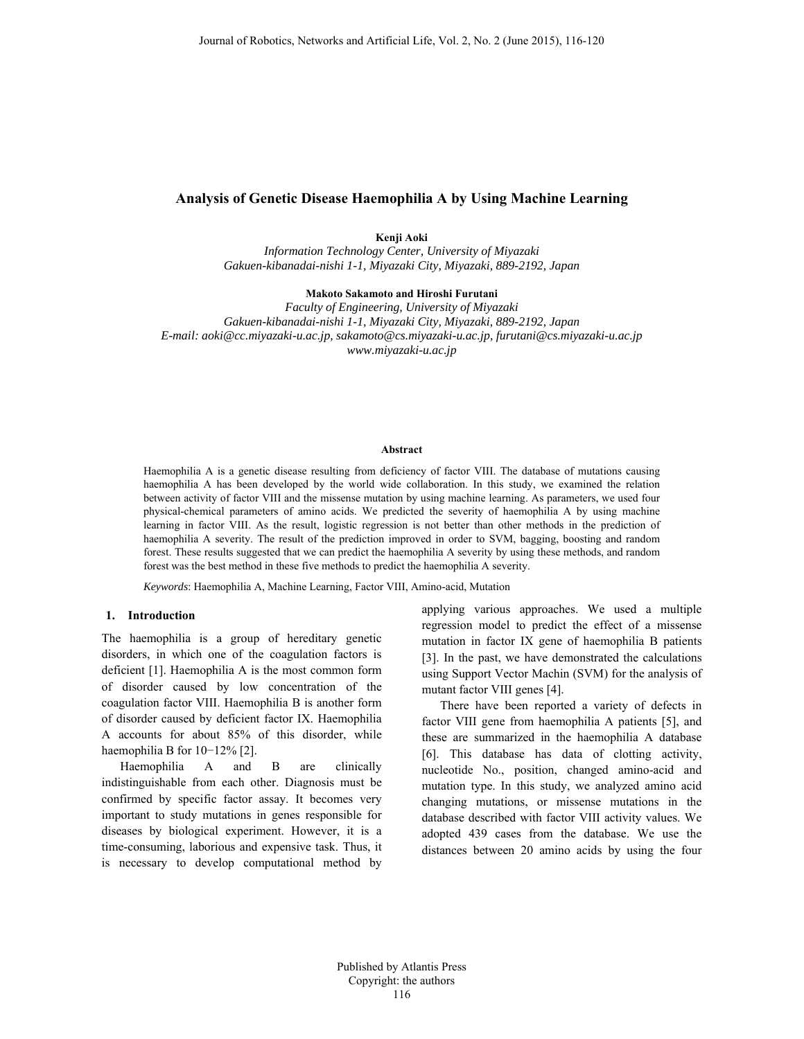# **Analysis of Genetic Disease Haemophilia A by Using Machine Learning**

### **Kenji Aoki**

*Information Technology Center, University of Miyazaki Gakuen-kibanadai-nishi 1-1, Miyazaki City, Miyazaki, 889-2192, Japan* 

#### **Makoto Sakamoto and Hiroshi Furutani**

*Faculty of Engineering, University of Miyazaki Gakuen-kibanadai-nishi 1-1, Miyazaki City, Miyazaki, 889-2192, Japan E-mail: aoki@cc.miyazaki-u.ac.jp, sakamoto@cs.miyazaki-u.ac.jp, furutani@cs.miyazaki-u.ac.jp www.miyazaki-u.ac.jp* 

#### **Abstract**

Haemophilia A is a genetic disease resulting from deficiency of factor VIII. The database of mutations causing haemophilia A has been developed by the world wide collaboration. In this study, we examined the relation between activity of factor VIII and the missense mutation by using machine learning. As parameters, we used four physical-chemical parameters of amino acids. We predicted the severity of haemophilia A by using machine learning in factor VIII. As the result, logistic regression is not better than other methods in the prediction of haemophilia A severity. The result of the prediction improved in order to SVM, bagging, boosting and random forest. These results suggested that we can predict the haemophilia A severity by using these methods, and random forest was the best method in these five methods to predict the haemophilia A severity.

*Keywords*: Haemophilia A, Machine Learning, Factor VIII, Amino-acid, Mutation

#### **1. Introduction**

The haemophilia is a group of hereditary genetic disorders, in which one of the coagulation factors is deficient [1]. Haemophilia A is the most common form of disorder caused by low concentration of the coagulation factor VIII. Haemophilia B is another form of disorder caused by deficient factor IX. Haemophilia A accounts for about 85% of this disorder, while haemophilia B for 10−12% [2].

Haemophilia A and B are clinically indistinguishable from each other. Diagnosis must be confirmed by specific factor assay. It becomes very important to study mutations in genes responsible for diseases by biological experiment. However, it is a time-consuming, laborious and expensive task. Thus, it is necessary to develop computational method by

applying various approaches. We used a multiple regression model to predict the effect of a missense mutation in factor IX gene of haemophilia B patients [3]. In the past, we have demonstrated the calculations using Support Vector Machin (SVM) for the analysis of mutant factor VIII genes [4].

There have been reported a variety of defects in factor VIII gene from haemophilia A patients [5], and these are summarized in the haemophilia A database [6]. This database has data of clotting activity, nucleotide No., position, changed amino-acid and mutation type. In this study, we analyzed amino acid changing mutations, or missense mutations in the database described with factor VIII activity values. We adopted 439 cases from the database. We use the distances between 20 amino acids by using the four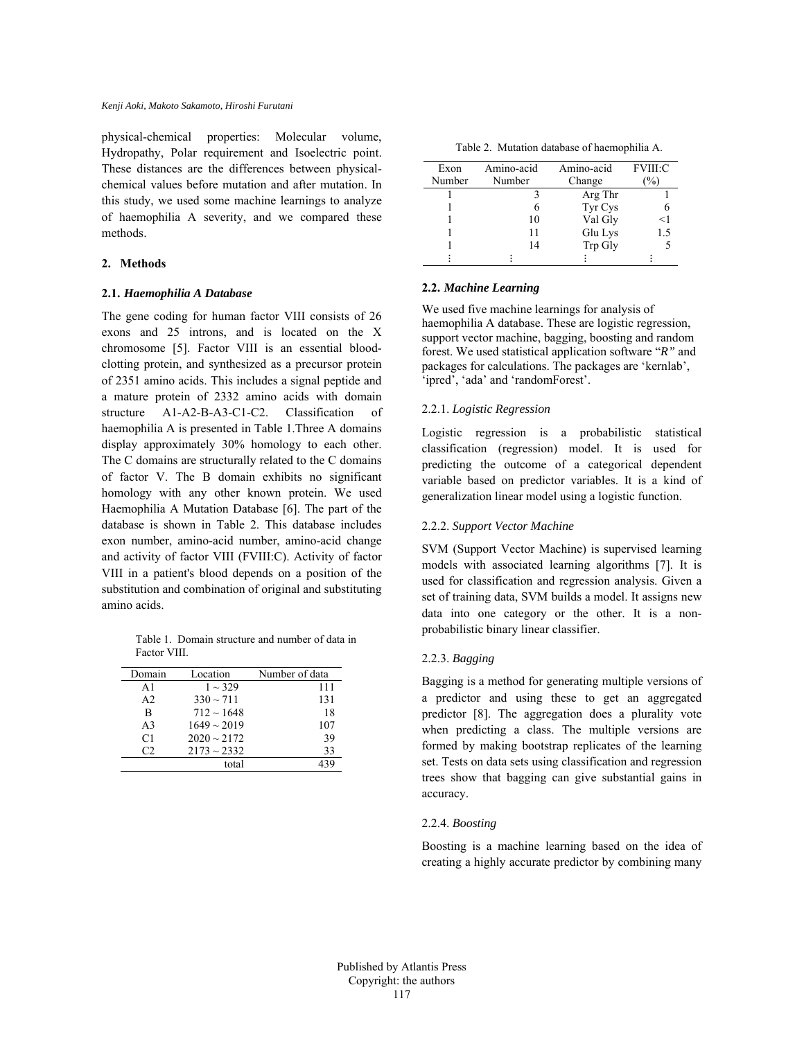physical-chemical properties: Molecular volume, Hydropathy, Polar requirement and Isoelectric point. These distances are the differences between physicalchemical values before mutation and after mutation. In this study, we used some machine learnings to analyze of haemophilia A severity, and we compared these methods.

### **2. Methods**

### **2.1.** *Haemophilia A Database*

The gene coding for human factor VIII consists of 26 exons and 25 introns, and is located on the X chromosome [5]. Factor VIII is an essential bloodclotting protein, and synthesized as a precursor protein of 2351 amino acids. This includes a signal peptide and a mature protein of 2332 amino acids with domain structure A1-A2-B-A3-C1-C2. Classification of haemophilia A is presented in Table 1.Three A domains display approximately 30% homology to each other. The C domains are structurally related to the C domains of factor V. The B domain exhibits no significant homology with any other known protein. We used Haemophilia A Mutation Database [6]. The part of the database is shown in Table 2. This database includes exon number, amino-acid number, amino-acid change and activity of factor VIII (FVIII:C). Activity of factor VIII in a patient's blood depends on a position of the substitution and combination of original and substituting amino acids.

Table 1. Domain structure and number of data in Factor VIII.

| Domain         | Location         | Number of data |
|----------------|------------------|----------------|
| A <sub>1</sub> | $1 \sim 329$     | 111            |
| A <sub>2</sub> | $330 \sim 711$   | 131            |
| B              | $712 \sim 1648$  | 18             |
| A <sup>3</sup> | $1649 \sim 2019$ | 107            |
| C <sub>1</sub> | $2020 \sim 2172$ | 39             |
| C2             | $2173 \sim 2332$ | 33             |
|                | total            |                |

Table 2. Mutation database of haemophilia A.

| Exon   | Amino-acid | Amino-acid | <b>FVIII:C</b> |
|--------|------------|------------|----------------|
| Number | Number     | Change     |                |
|        |            | Arg Thr    |                |
|        |            | Tyr Cys    |                |
|        | 10         | Val Gly    | $<$ 1          |
|        | 11         | Glu Lys    | 1.5            |
|        | 14         | Trp Gly    |                |
|        |            |            |                |

## **2.2.** *Machine Learning*

We used five machine learnings for analysis of haemophilia A database. These are logistic regression, support vector machine, bagging, boosting and random forest. We used statistical application software "*R"* and packages for calculations. The packages are 'kernlab', 'ipred', 'ada' and 'randomForest'.

# 2.2.1. *Logistic Regression*

Logistic regression is a probabilistic statistical classification (regression) model. It is used for predicting the outcome of a categorical dependent variable based on predictor variables. It is a kind of generalization linear model using a logistic function.

## 2.2.2. *Support Vector Machine*

SVM (Support Vector Machine) is supervised learning models with associated learning algorithms [7]. It is used for classification and regression analysis. Given a set of training data, SVM builds a model. It assigns new data into one category or the other. It is a nonprobabilistic binary linear classifier.

## 2.2.3. *Bagging*

Bagging is a method for generating multiple versions of a predictor and using these to get an aggregated predictor [8]. The aggregation does a plurality vote when predicting a class. The multiple versions are formed by making bootstrap replicates of the learning set. Tests on data sets using classification and regression trees show that bagging can give substantial gains in accuracy.

## 2.2.4. *Boosting*

Boosting is a machine learning based on the idea of creating a highly accurate predictor by combining many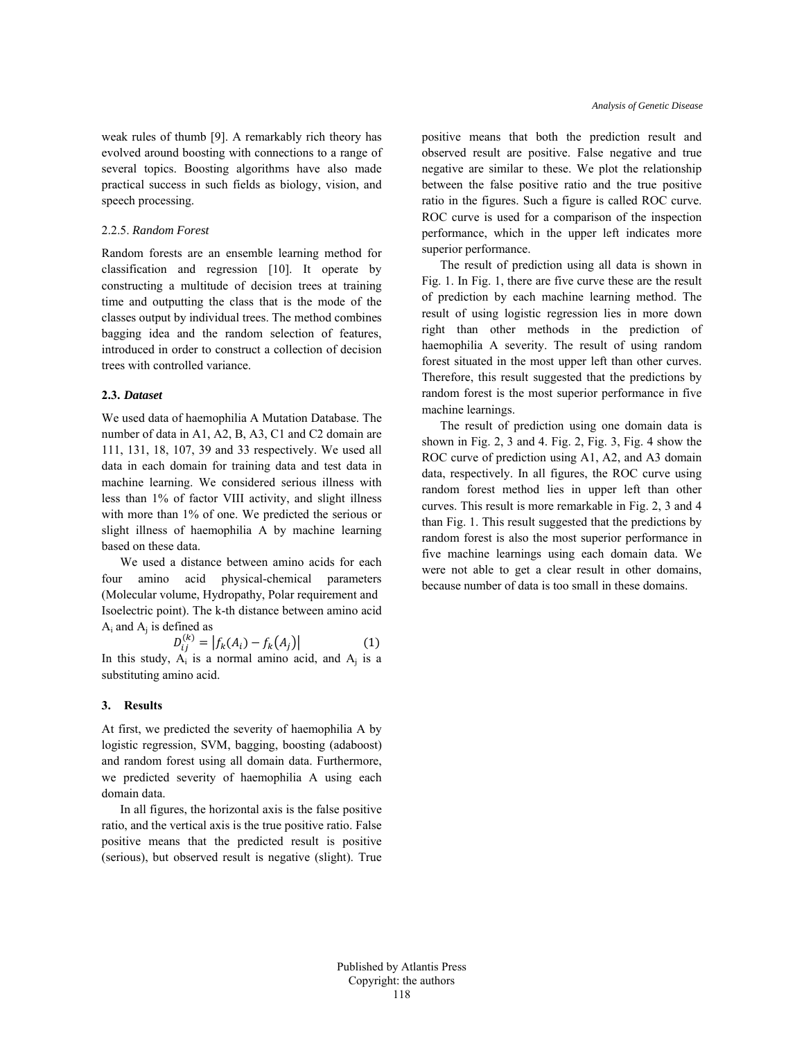weak rules of thumb [9]. A remarkably rich theory has evolved around boosting with connections to a range of several topics. Boosting algorithms have also made practical success in such fields as biology, vision, and speech processing.

## 2.2.5. *Random Forest*

Random forests are an ensemble learning method for classification and regression [10]. It operate by constructing a multitude of decision trees at training time and outputting the class that is the mode of the classes output by individual trees. The method combines bagging idea and the random selection of features, introduced in order to construct a collection of decision trees with controlled variance.

### **2.3.** *Dataset*

We used data of haemophilia A Mutation Database. The number of data in A1, A2, B, A3, C1 and C2 domain are 111, 131, 18, 107, 39 and 33 respectively. We used all data in each domain for training data and test data in machine learning. We considered serious illness with less than 1% of factor VIII activity, and slight illness with more than 1% of one. We predicted the serious or slight illness of haemophilia A by machine learning based on these data.

We used a distance between amino acids for each four amino acid physical-chemical parameters (Molecular volume, Hydropathy, Polar requirement and Isoelectric point). The k-th distance between amino acid  $A_i$  and  $A_i$  is defined as

$$
D_{ij}^{(k)} = |f_k(A_i) - f_k(A_j)| \tag{1}
$$

In this study,  $A_i$  is a normal amino acid, and  $A_i$  is a substituting amino acid.

### **3. Results**

At first, we predicted the severity of haemophilia A by logistic regression, SVM, bagging, boosting (adaboost) and random forest using all domain data. Furthermore, we predicted severity of haemophilia A using each domain data.

In all figures, the horizontal axis is the false positive ratio, and the vertical axis is the true positive ratio. False positive means that the predicted result is positive (serious), but observed result is negative (slight). True

positive means that both the prediction result and observed result are positive. False negative and true negative are similar to these. We plot the relationship between the false positive ratio and the true positive ratio in the figures. Such a figure is called ROC curve. ROC curve is used for a comparison of the inspection performance, which in the upper left indicates more superior performance.

The result of prediction using all data is shown in Fig. 1. In Fig. 1, there are five curve these are the result of prediction by each machine learning method. The result of using logistic regression lies in more down right than other methods in the prediction of haemophilia A severity. The result of using random forest situated in the most upper left than other curves. Therefore, this result suggested that the predictions by random forest is the most superior performance in five machine learnings.

The result of prediction using one domain data is shown in Fig. 2, 3 and 4. Fig. 2, Fig. 3, Fig. 4 show the ROC curve of prediction using A1, A2, and A3 domain data, respectively. In all figures, the ROC curve using random forest method lies in upper left than other curves. This result is more remarkable in Fig. 2, 3 and 4 than Fig. 1. This result suggested that the predictions by random forest is also the most superior performance in five machine learnings using each domain data. We were not able to get a clear result in other domains, because number of data is too small in these domains.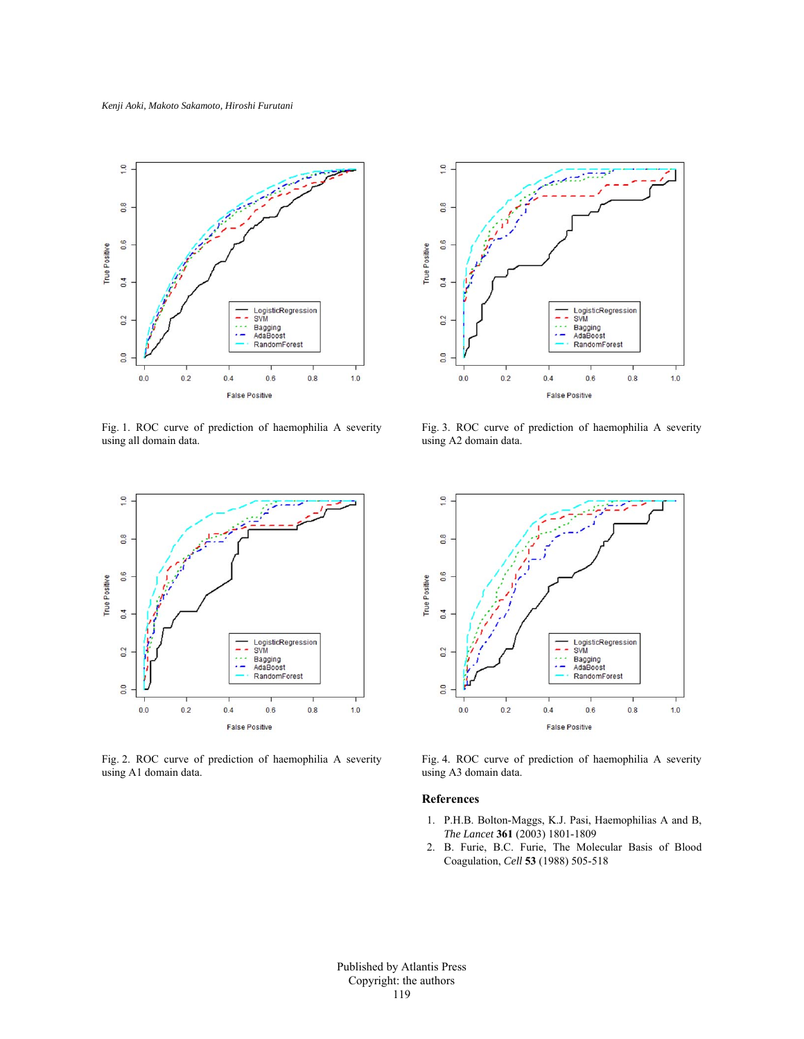

Fig. 1. ROC curve of prediction of haemophilia A severity using all domain data.



Fig. 2. ROC curve of prediction of haemophilia A severity using A1 domain data.



Fig. 3. ROC curve of prediction of haemophilia A severity using A2 domain data.



Fig. 4. ROC curve of prediction of haemophilia A severity using A3 domain data.

### **References**

- 1. P.H.B. Bolton-Maggs, K.J. Pasi, Haemophilias A and B, *The Lancet* **361** (2003) 1801-1809
- 2. B. Furie, B.C. Furie, The Molecular Basis of Blood Coagulation, *Cell* **53** (1988) 505-518